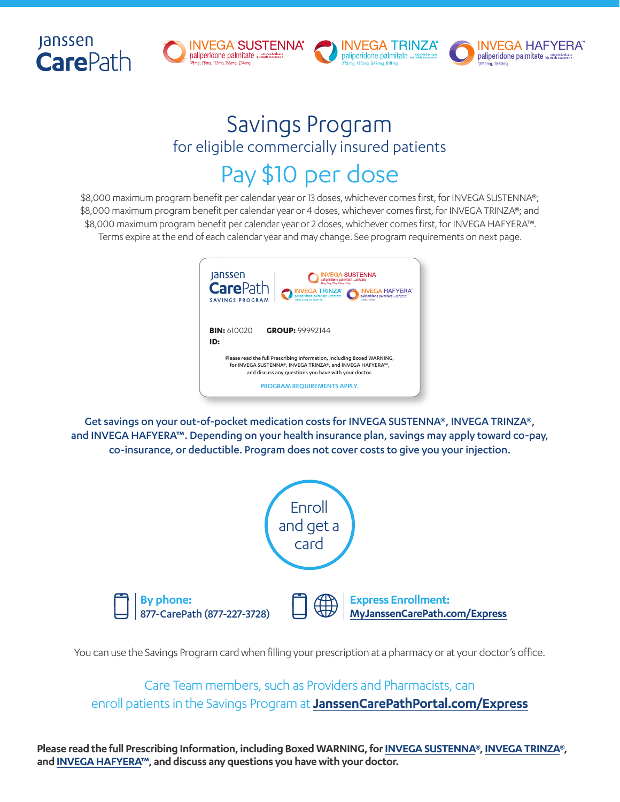







# Savings Program for eligible commercially insured patients Pay \$10 per dose

\$8,000 maximum program benefit per calendar year or 13 doses, whichever comes first, for INVEGA SUSTENNA®; \$8,000 maximum program benefit per calendar year or 4 doses, whichever comes first, for INVEGA TRINZA®; and \$8,000 maximum program benefit per calendar year or 2 doses, whichever comes first, for INVEGA HAFYERA™. Terms expire at the end of each calendar year and may change. See program requirements on next page.



Get savings on your out-of-pocket medication costs for INVEGA SUSTENNA®, INVEGA TRINZA®, and INVEGA HAFYERA™. Depending on your health insurance plan, savings may apply toward co-pay, co-insurance, or deductible. Program does not cover costs to give you your injection.



You can use the Savings Program card when filling your prescription at a pharmacy or at your doctor's office.

Care Team members, such as Providers and Pharmacists, can enroll patients in the Savings Program at **[JanssenCarePathPortal.com/Express](https://www.janssencarepathportal.com/Express)**

**Please read the full Prescribing Information, including Boxed WARNING, for [INVEGA SUSTENNA®](https://www.janssenlabels.com/package-insert/product-monograph/prescribing-information/INVEGA+SUSTENNA-pi.pdf), [INVEGA TRINZA®](https://www.janssenlabels.com/package-insert/product-monograph/prescribing-information/INVEGA+TRINZA-pi.pdf), and [INVEGA HAFYERA](https://www.janssenlabels.com/package-insert/product-monograph/prescribing-information/INVEGA+HAFYERA-pi.pdf)™, and discuss any questions you have with your doctor.**